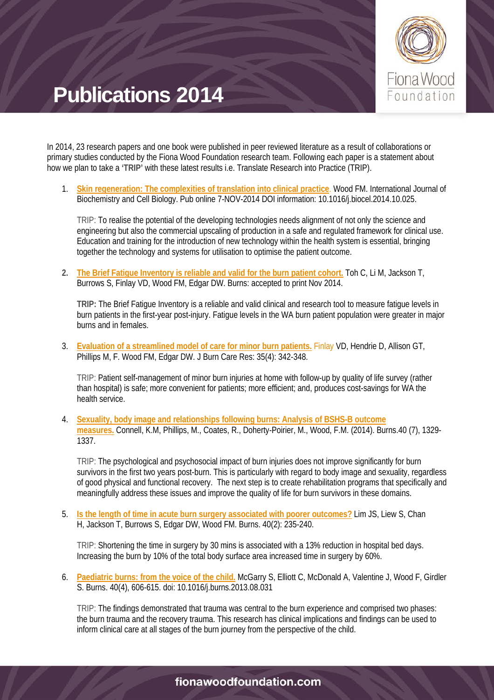

In 2014, 23 research papers and one book were published in peer reviewed literature as a result of collaborations or primary studies conducted by the Fiona Wood Foundation research team. Following each paper is a statement about how we plan to take a **'TRIP'** with these latest results i.e. Translate Research into Practice (TRIP).

1. **[Skin regeneration: The complexities of translation into clinical practice](http://www.sciencedirect.com/science/article/pii/S135727251400346X)**. Wood FM. International Journal of Biochemistry and Cell Biology. Pub online 7-NOV-2014 DOI information: 10.1016/j.biocel.2014.10.025.

TRIP: To realise the potential of the developing technologies needs alignment of not only the science and engineering but also the commercial upscaling of production in a safe and regulated framework for clinical use. Education and training for the introduction of new technology within the health system is essential, bringing together the technology and systems for utilisation to optimise the patient outcome.

**2. [The Brief Fatigue Inventory is reliable and valid for the burn patient cohort.](http://www.sciencedirect.com/science/article/pii/S0305417914004173)** Toh C, Li M, Jackson T, Burrows S, Finlay VD, Wood FM, Edgar DW. Burns: accepted to print Nov 2014.

**TRIP:** The Brief Fatigue Inventory is a reliable and valid clinical and research tool to measure fatigue levels in burn patients in the first-year post-injury. Fatigue levels in the WA burn patient population were greater in major burns and in females.

3. **[Evaluation of a streamlined model of care](http://journals.lww.com/burncareresearch/Abstract/2014/07000/Evaluation_of_a_Streamlined_Model_of_Care_for.10.aspx) for minor burn patients.** Finlay VD, Hendrie D, Allison GT, Phillips M, F. Wood FM, Edgar DW. J Burn Care Res: 35(4): 342-348.

TRIP: Patient self-management of minor burn injuries at home with follow-up by quality of life survey (rather than hospital) is safe; more convenient for patients; more efficient; and, produces cost-savings for WA the health service.

4. **[Sexuality, body image and relationships following burns: Analysis of BSHS-B outcome](http://www.sciencedirect.com/science/article/pii/S0305417914000199)  [measures.](http://www.sciencedirect.com/science/article/pii/S0305417914000199)** Connell, K.M, Phillips, M., Coates, R., Doherty-Poirier, M., Wood, F.M. (2014). Burns.40 (7), 1329- 1337.

TRIP: The psychological and psychosocial impact of burn injuries does not improve significantly for burn survivors in the first two years post-burn. This is particularly with regard to body image and sexuality, regardless of good physical and functional recovery. The next step is to create rehabilitation programs that specifically and meaningfully address these issues and improve the quality of life for burn survivors in these domains.

5. **[Is the length of time in acute burn surgery associated with poorer outcomes?](http://www.sciencedirect.com/science/article/pii/S0305417913001873)** Lim JS, Liew S, Chan H, Jackson T, Burrows S, Edgar DW, Wood FM. Burns. 40(2): 235-240.

TRIP: Shortening the time in surgery by 30 mins is associated with a 13% reduction in hospital bed days. Increasing the burn by 10% of the total body surface area increased time in surgery by 60%.

6. **[Paediatric burns: from the voice of the child.](http://www.sciencedirect.com/science/article/pii/S0305417913002714)** McGarry S, Elliott C, McDonald A, Valentine J, Wood F, Girdler S. Burns. 40(4), 606-615. doi: 10.1016/j.burns.2013.08.031

TRIP: The findings demonstrated that trauma was central to the burn experience and comprised two phases: the burn trauma and the recovery trauma. This research has clinical implications and findings can be used to inform clinical care at all stages of the burn journey from the perspective of the child.

### fionawoodfoundation.com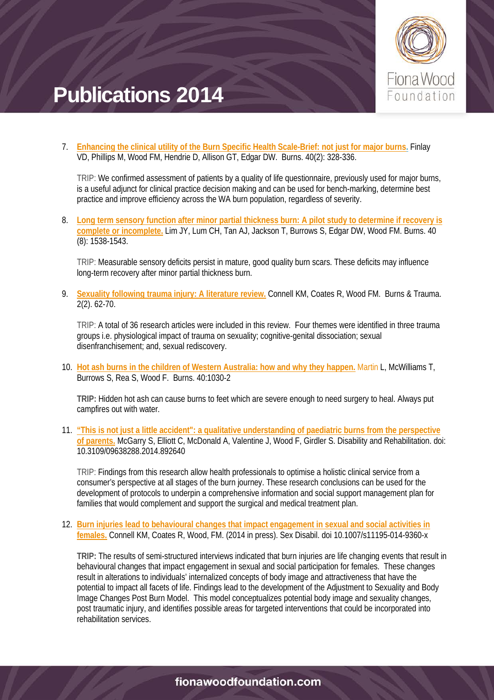

7. **[Enhancing the clinical utility of the Burn Specific Health Scale-Brief: not just for major burns.](http://www.sciencedirect.com/science/article/pii/S0305417913002088)** Finlay VD, Phillips M, Wood FM, Hendrie D, Allison GT, Edgar DW. Burns. 40(2): 328-336.

TRIP: We confirmed assessment of patients by a quality of life questionnaire, previously used for major burns, is a useful adjunct for clinical practice decision making and can be used for bench-marking, determine best practice and improve efficiency across the WA burn population, regardless of severity.

8. **[Long term sensory function after minor partial thickness burn: A pilot study to determine if recovery is](http://www.sciencedirect.com/science/article/pii/S0305417914001181)  [complete or incomplete.](http://www.sciencedirect.com/science/article/pii/S0305417914001181)** Lim JY, Lum CH, Tan AJ, Jackson T, Burrows S, Edgar DW, Wood FM. Burns. 40 (8): 1538-1543.

TRIP: Measurable sensory deficits persist in mature, good quality burn scars. These deficits may influence long-term recovery after minor partial thickness burn.

9. **[Sexuality following trauma injury: A literature review.](http://burnstrauma.com/article.asp?issn=2321-3868;year=2014;volume=2;issue=2;spage=61;epage=70;aulast=Connell)** Connell KM, Coates R, Wood FM. Burns & Trauma. 2(2). 62-70.

TRIP: A total of 36 research articles were included in this review. Four themes were identified in three trauma groups i.e. physiological impact of trauma on sexuality; cognitive-genital dissociation; sexual disenfranchisement; and, sexual rediscovery.

10. **[Hot ash burns in the children of Western Australia: how and why they happen.](http://www.sciencedirect.com/science/article/pii/S0305417913003550)** Martin L, McWilliams T, Burrows S, Rea S, Wood F. Burns. 40:1030-2

**TRIP:** Hidden hot ash can cause burns to feet which are severe enough to need surgery to heal. Always put campfires out with water.

11. **["This is not just a little accident": a qualitative understanding of paediatric burns from the perspective](http://informahealthcare.com/doi/abs/10.3109/09638288.2014.892640)  [of parents.](http://informahealthcare.com/doi/abs/10.3109/09638288.2014.892640)** McGarry S, Elliott C, McDonald A, Valentine J, Wood F, Girdler S. Disability and Rehabilitation. doi: 10.3109/09638288.2014.892640

TRIP: Findings from this research allow health professionals to optimise a holistic clinical service from a consumer's perspective at all stages of the burn journey. These research conclusions can be used for the development of protocols to underpin a comprehensive information and social support management plan for families that would complement and support the surgical and medical treatment plan.

12. **[Burn injuries lead to behavioural changes that impact engagement in sexual and social](http://link.springer.com/article/10.1007/s11195-014-9360-x) activities in [females.](http://link.springer.com/article/10.1007/s11195-014-9360-x)** Connell KM, Coates R, Wood, FM. (2014 in press). Sex Disabil. doi 10.1007/s11195-014-9360-x

**TRIP:** The results of semi-structured interviews indicated that burn injuries are life changing events that result in behavioural changes that impact engagement in sexual and social participation for females. These changes result in alterations to individuals' internalized concepts of body image and attractiveness that have the potential to impact all facets of life. Findings lead to the development of the Adjustment to Sexuality and Body Image Changes Post Burn Model. This model conceptualizes potential body image and sexuality changes, post traumatic injury, and identifies possible areas for targeted interventions that could be incorporated into rehabilitation services.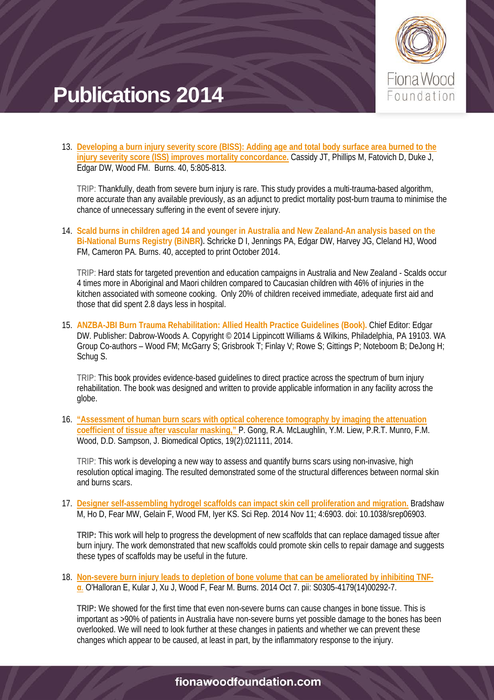

13. **[Developing a burn injury severity score \(BISS\): Adding age and total body surface area burned to the](http://www.sciencedirect.com/science/article/pii/S0305417913003392)  [injury severity score \(ISS\) improves mortality concordance.](http://www.sciencedirect.com/science/article/pii/S0305417913003392)** Cassidy JT, Phillips M, Fatovich D, Duke J, Edgar DW, Wood FM. Burns. 40, 5:805-813.

TRIP: Thankfully, death from severe burn injury is rare. This study provides a multi-trauma-based algorithm, more accurate than any available previously, as an adjunct to predict mortality post-burn trauma to minimise the chance of unnecessary suffering in the event of severe injury.

14. **Scald burns in children aged 14 and younger in Australia and New Zealand-An analysis based on the Bi-National Burns Registry (BiNBR).** Schricke D I, Jennings PA, Edgar DW, Harvey JG, Cleland HJ, Wood FM, Cameron PA. Burns. 40, accepted to print October 2014.

TRIP: Hard stats for targeted prevention and education campaigns in Australia and New Zealand - Scalds occur 4 times more in Aboriginal and Maori children compared to Caucasian children with 46% of injuries in the kitchen associated with someone cooking. Only 20% of children received immediate, adequate first aid and those that did spent 2.8 days less in hospital.

15. **ANZBA-JBI Burn Trauma Rehabilitation: Allied Health Practice Guidelines (Book).** Chief Editor: Edgar DW. Publisher: Dabrow-Woods A. Copyright © 2014 Lippincott Williams & Wilkins, Philadelphia, PA 19103. WA Group Co-authors – Wood FM; McGarry S; Grisbrook T; Finlay V; Rowe S; Gittings P; Noteboom B; DeJong H; Schug S.

TRIP: This book provides evidence-based guidelines to direct practice across the spectrum of burn injury rehabilitation. The book was designed and written to provide applicable information in any facility across the globe.

16. **["Assessment of human burn scars with optical coherence tomography by imaging the attenuation](http://biomedicaloptics.spiedigitallibrary.org/article.aspx?articleid=1767065)  [coefficient of tissue after vascular masking,"](http://biomedicaloptics.spiedigitallibrary.org/article.aspx?articleid=1767065)** P. Gong, R.A. McLaughlin, Y.M. Liew, P.R.T. Munro, F.M. Wood, D.D. Sampson, J. Biomedical Optics, 19(2):021111, 2014.

TRIP: This work is developing a new way to assess and quantify burns scars using non-invasive, high resolution optical imaging. The resulted demonstrated some of the structural differences between normal skin and burns scars.

17. **[Designer self-assembling hydrogel scaffolds can impact skin cell proliferation and migration.](http://www.nature.com/srep/2014/141105/srep06903/full/srep06903.html)** Bradshaw M, Ho D, Fear MW, Gelain F, Wood FM, Iyer KS. Sci Rep. 2014 Nov 11; 4:6903. doi: 10.1038/srep06903.

**TRIP:** This work will help to progress the development of new scaffolds that can replace damaged tissue after burn injury. The work demonstrated that new scaffolds could promote skin cells to repair damage and suggests these types of scaffolds may be useful in the future.

18. **[Non-severe burn injury leads to depletion of bone volume that can be ameliorated by inhibiting TNF](http://www.sciencedirect.com/science/article/pii/S0305417914002927)[α](http://www.sciencedirect.com/science/article/pii/S0305417914002927)**. O'Halloran E, Kular J, Xu J, Wood F, Fear M. Burns. 2014 Oct 7. pii: S0305-4179(14)00292-7.

**TRIP:** We showed for the first time that even non-severe burns can cause changes in bone tissue. This is important as >90% of patients in Australia have non-severe burns yet possible damage to the bones has been overlooked. We will need to look further at these changes in patients and whether we can prevent these changes which appear to be caused, at least in part, by the inflammatory response to the injury.